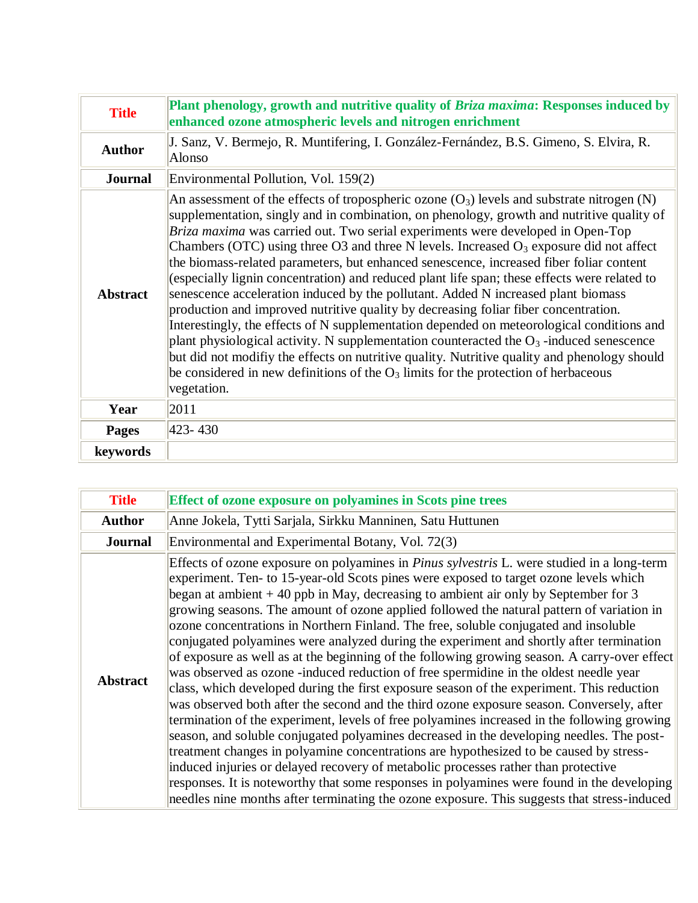| <b>Title</b>    | Plant phenology, growth and nutritive quality of Briza maxima: Responses induced by<br>enhanced ozone atmospheric levels and nitrogen enrichment                                                                                                                                                                                                                                                                                                                                                                                                                                                                                                                                                                                                                                                                                                                                                                                                                                                                                                                                                                                                    |
|-----------------|-----------------------------------------------------------------------------------------------------------------------------------------------------------------------------------------------------------------------------------------------------------------------------------------------------------------------------------------------------------------------------------------------------------------------------------------------------------------------------------------------------------------------------------------------------------------------------------------------------------------------------------------------------------------------------------------------------------------------------------------------------------------------------------------------------------------------------------------------------------------------------------------------------------------------------------------------------------------------------------------------------------------------------------------------------------------------------------------------------------------------------------------------------|
| <b>Author</b>   | J. Sanz, V. Bermejo, R. Muntifering, I. González-Fernández, B.S. Gimeno, S. Elvira, R.<br>Alonso                                                                                                                                                                                                                                                                                                                                                                                                                                                                                                                                                                                                                                                                                                                                                                                                                                                                                                                                                                                                                                                    |
| <b>Journal</b>  | Environmental Pollution, Vol. 159(2)                                                                                                                                                                                                                                                                                                                                                                                                                                                                                                                                                                                                                                                                                                                                                                                                                                                                                                                                                                                                                                                                                                                |
| <b>Abstract</b> | An assessment of the effects of tropospheric ozone $(O_3)$ levels and substrate nitrogen (N)<br>supplementation, singly and in combination, on phenology, growth and nutritive quality of<br>Briza maxima was carried out. Two serial experiments were developed in Open-Top<br>Chambers (OTC) using three O3 and three N levels. Increased $O_3$ exposure did not affect<br>the biomass-related parameters, but enhanced senescence, increased fiber foliar content<br>(especially lignin concentration) and reduced plant life span; these effects were related to<br>senescence acceleration induced by the pollutant. Added N increased plant biomass<br>production and improved nutritive quality by decreasing foliar fiber concentration.<br>Interestingly, the effects of N supplementation depended on meteorological conditions and<br>plant physiological activity. N supplementation counteracted the $O_3$ -induced senescence<br>but did not modifiy the effects on nutritive quality. Nutritive quality and phenology should<br>be considered in new definitions of the $O_3$ limits for the protection of herbaceous<br>vegetation. |
| Year            | 2011                                                                                                                                                                                                                                                                                                                                                                                                                                                                                                                                                                                                                                                                                                                                                                                                                                                                                                                                                                                                                                                                                                                                                |
| <b>Pages</b>    | 423-430                                                                                                                                                                                                                                                                                                                                                                                                                                                                                                                                                                                                                                                                                                                                                                                                                                                                                                                                                                                                                                                                                                                                             |
| keywords        |                                                                                                                                                                                                                                                                                                                                                                                                                                                                                                                                                                                                                                                                                                                                                                                                                                                                                                                                                                                                                                                                                                                                                     |

| <b>Title</b>    | <b>Effect of ozone exposure on polyamines in Scots pine trees</b>                                                                                                                                                                                                                                                                                                                                                                                                                                                                                                                                                                                                                                                                                                                                                                                                                                                                                                                                                                                                                                                                                                                                                                                                                                                                                                                                                                                                                                                             |
|-----------------|-------------------------------------------------------------------------------------------------------------------------------------------------------------------------------------------------------------------------------------------------------------------------------------------------------------------------------------------------------------------------------------------------------------------------------------------------------------------------------------------------------------------------------------------------------------------------------------------------------------------------------------------------------------------------------------------------------------------------------------------------------------------------------------------------------------------------------------------------------------------------------------------------------------------------------------------------------------------------------------------------------------------------------------------------------------------------------------------------------------------------------------------------------------------------------------------------------------------------------------------------------------------------------------------------------------------------------------------------------------------------------------------------------------------------------------------------------------------------------------------------------------------------------|
| <b>Author</b>   | Anne Jokela, Tytti Sarjala, Sirkku Manninen, Satu Huttunen                                                                                                                                                                                                                                                                                                                                                                                                                                                                                                                                                                                                                                                                                                                                                                                                                                                                                                                                                                                                                                                                                                                                                                                                                                                                                                                                                                                                                                                                    |
| <b>Journal</b>  | Environmental and Experimental Botany, Vol. 72(3)                                                                                                                                                                                                                                                                                                                                                                                                                                                                                                                                                                                                                                                                                                                                                                                                                                                                                                                                                                                                                                                                                                                                                                                                                                                                                                                                                                                                                                                                             |
| <b>Abstract</b> | Effects of ozone exposure on polyamines in <i>Pinus sylvestris</i> L. were studied in a long-term<br>experiment. Ten- to 15-year-old Scots pines were exposed to target ozone levels which<br>began at ambient $+40$ ppb in May, decreasing to ambient air only by September for 3<br>growing seasons. The amount of ozone applied followed the natural pattern of variation in<br>ozone concentrations in Northern Finland. The free, soluble conjugated and insoluble<br>conjugated polyamines were analyzed during the experiment and shortly after termination<br>of exposure as well as at the beginning of the following growing season. A carry-over effect<br>was observed as ozone -induced reduction of free spermidine in the oldest needle year<br>class, which developed during the first exposure season of the experiment. This reduction<br>was observed both after the second and the third ozone exposure season. Conversely, after<br>termination of the experiment, levels of free polyamines increased in the following growing<br>season, and soluble conjugated polyamines decreased in the developing needles. The post-<br>treatment changes in polyamine concentrations are hypothesized to be caused by stress-<br>induced injuries or delayed recovery of metabolic processes rather than protective<br>responses. It is noteworthy that some responses in polyamines were found in the developing<br>needles nine months after terminating the ozone exposure. This suggests that stress-induced |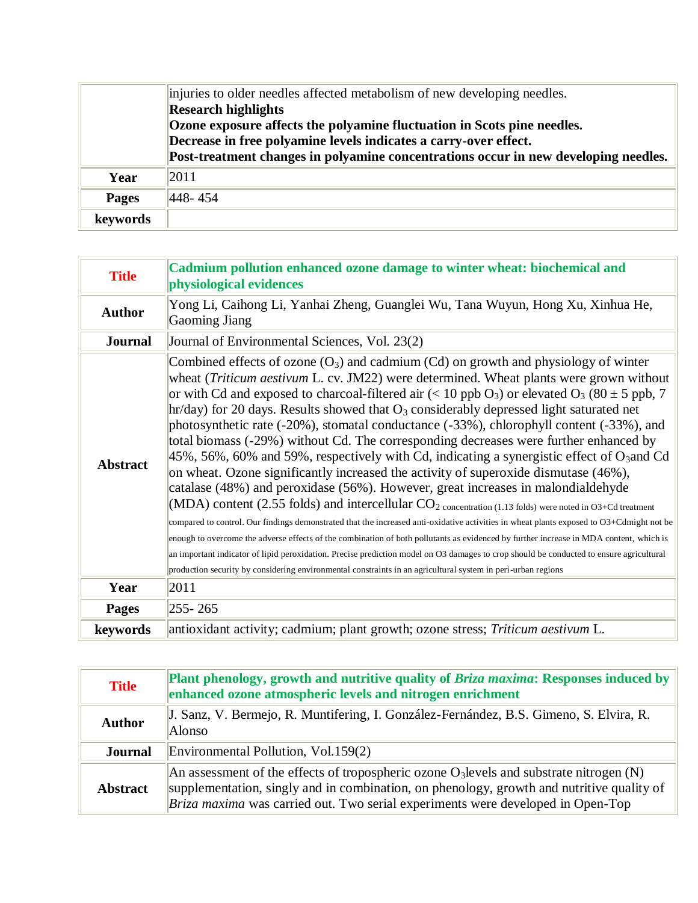|              | injuries to older needles affected metabolism of new developing needles.<br><b>Research highlights</b>                                                                                                                             |
|--------------|------------------------------------------------------------------------------------------------------------------------------------------------------------------------------------------------------------------------------------|
|              | Ozone exposure affects the polyamine fluctuation in Scots pine needles.<br>Decrease in free polyamine levels indicates a carry-over effect.<br>Post-treatment changes in polyamine concentrations occur in new developing needles. |
| Year         | 2011                                                                                                                                                                                                                               |
| <b>Pages</b> | 448-454                                                                                                                                                                                                                            |
| keywords     |                                                                                                                                                                                                                                    |

| <b>Title</b>    | Cadmium pollution enhanced ozone damage to winter wheat: biochemical and<br>physiological evidences                                                                                                                                                                                                                                                                                                                                                                                                                                                                                                                                                                                                                                                                                                                                                                                                                                                                                                                                                                                                                                                                                                                                                                                                                                                                                                                                                                                                                                                          |
|-----------------|--------------------------------------------------------------------------------------------------------------------------------------------------------------------------------------------------------------------------------------------------------------------------------------------------------------------------------------------------------------------------------------------------------------------------------------------------------------------------------------------------------------------------------------------------------------------------------------------------------------------------------------------------------------------------------------------------------------------------------------------------------------------------------------------------------------------------------------------------------------------------------------------------------------------------------------------------------------------------------------------------------------------------------------------------------------------------------------------------------------------------------------------------------------------------------------------------------------------------------------------------------------------------------------------------------------------------------------------------------------------------------------------------------------------------------------------------------------------------------------------------------------------------------------------------------------|
| <b>Author</b>   | Yong Li, Caihong Li, Yanhai Zheng, Guanglei Wu, Tana Wuyun, Hong Xu, Xinhua He,<br>Gaoming Jiang                                                                                                                                                                                                                                                                                                                                                                                                                                                                                                                                                                                                                                                                                                                                                                                                                                                                                                                                                                                                                                                                                                                                                                                                                                                                                                                                                                                                                                                             |
| <b>Journal</b>  | Journal of Environmental Sciences, Vol. 23(2)                                                                                                                                                                                                                                                                                                                                                                                                                                                                                                                                                                                                                                                                                                                                                                                                                                                                                                                                                                                                                                                                                                                                                                                                                                                                                                                                                                                                                                                                                                                |
| <b>Abstract</b> | Combined effects of ozone $(O_3)$ and cadmium $(Cd)$ on growth and physiology of winter<br>wheat <i>(Triticum aestivum L. cv. JM22)</i> were determined. Wheat plants were grown without<br>or with Cd and exposed to charcoal-filtered air (< 10 ppb O <sub>3</sub> ) or elevated O <sub>3</sub> (80 $\pm$ 5 ppb, 7<br>$\ln(\text{day})$ for 20 days. Results showed that $O_3$ considerably depressed light saturated net<br>photosynthetic rate (-20%), stomatal conductance (-33%), chlorophyll content (-33%), and<br>total biomass (-29%) without Cd. The corresponding decreases were further enhanced by<br>45%, 56%, 60% and 59%, respectively with Cd, indicating a synergistic effect of $O_3$ and Cd<br>on wheat. Ozone significantly increased the activity of superoxide dismutase (46%),<br>catalase (48%) and peroxidase (56%). However, great increases in malondialdehyde<br>(MDA) content (2.55 folds) and intercellular $CO_2$ concentration (1.13 folds) were noted in O3+Cd treatment<br>compared to control. Our findings demonstrated that the increased anti-oxidative activities in wheat plants exposed to O3+Cdmight not be<br>enough to overcome the adverse effects of the combination of both pollutants as evidenced by further increase in MDA content, which is<br>an important indicator of lipid peroxidation. Precise prediction model on O3 damages to crop should be conducted to ensure agricultural<br>production security by considering environmental constraints in an agricultural system in peri-urban regions |
| Year            | 2011                                                                                                                                                                                                                                                                                                                                                                                                                                                                                                                                                                                                                                                                                                                                                                                                                                                                                                                                                                                                                                                                                                                                                                                                                                                                                                                                                                                                                                                                                                                                                         |
| <b>Pages</b>    | $ 255 - 265 $                                                                                                                                                                                                                                                                                                                                                                                                                                                                                                                                                                                                                                                                                                                                                                                                                                                                                                                                                                                                                                                                                                                                                                                                                                                                                                                                                                                                                                                                                                                                                |
| keywords        | antioxidant activity; cadmium; plant growth; ozone stress; Triticum aestivum L.                                                                                                                                                                                                                                                                                                                                                                                                                                                                                                                                                                                                                                                                                                                                                                                                                                                                                                                                                                                                                                                                                                                                                                                                                                                                                                                                                                                                                                                                              |

| <b>Title</b>    | <b>Plant phenology, growth and nutritive quality of Briza maxima: Responses induced by</b><br>enhanced ozone atmospheric levels and nitrogen enrichment                                                                                                                           |
|-----------------|-----------------------------------------------------------------------------------------------------------------------------------------------------------------------------------------------------------------------------------------------------------------------------------|
| <b>Author</b>   | J. Sanz, V. Bermejo, R. Muntifering, I. González-Fernández, B.S. Gimeno, S. Elvira, R.<br>Alonso                                                                                                                                                                                  |
| <b>Journal</b>  | Environmental Pollution, Vol.159(2)                                                                                                                                                                                                                                               |
| <b>Abstract</b> | An assessment of the effects of tropospheric ozone $O_3$ levels and substrate nitrogen (N)<br>supplementation, singly and in combination, on phenology, growth and nutritive quality of<br><i>Briza maxima</i> was carried out. Two serial experiments were developed in Open-Top |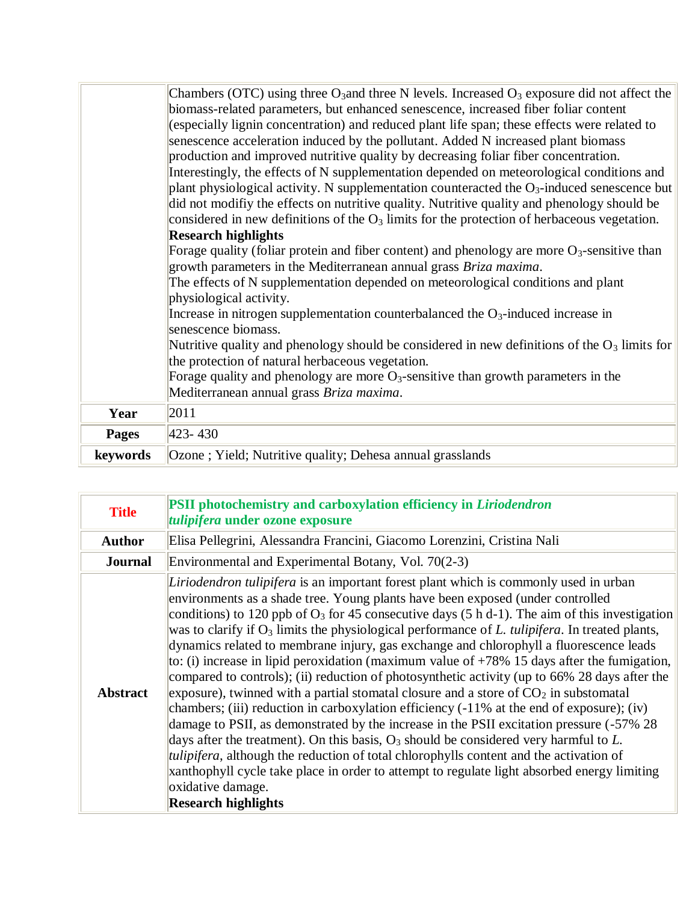|              | Chambers (OTC) using three O <sub>3</sub> and three N levels. Increased $O_3$ exposure did not affect the<br>biomass-related parameters, but enhanced senescence, increased fiber foliar content<br>(especially lignin concentration) and reduced plant life span; these effects were related to<br>senescence acceleration induced by the pollutant. Added N increased plant biomass |
|--------------|---------------------------------------------------------------------------------------------------------------------------------------------------------------------------------------------------------------------------------------------------------------------------------------------------------------------------------------------------------------------------------------|
|              | production and improved nutritive quality by decreasing foliar fiber concentration.<br>Interestingly, the effects of N supplementation depended on meteorological conditions and<br>plant physiological activity. N supplementation counteracted the $O_3$ -induced senescence but                                                                                                    |
|              | did not modify the effects on nutritive quality. Nutritive quality and phenology should be<br>considered in new definitions of the $O_3$ limits for the protection of herbaceous vegetation.                                                                                                                                                                                          |
|              | <b>Research highlights</b><br>Forage quality (foliar protein and fiber content) and phenology are more $O_3$ -sensitive than                                                                                                                                                                                                                                                          |
|              | growth parameters in the Mediterranean annual grass Briza maxima.<br>The effects of N supplementation depended on meteorological conditions and plant<br>physiological activity.                                                                                                                                                                                                      |
|              | Increase in nitrogen supplementation counterbalanced the $O_3$ -induced increase in<br>senescence biomass.                                                                                                                                                                                                                                                                            |
|              | Nutritive quality and phenology should be considered in new definitions of the $O_3$ limits for<br>the protection of natural herbaceous vegetation.                                                                                                                                                                                                                                   |
|              | Forage quality and phenology are more $O_3$ -sensitive than growth parameters in the<br>Mediterranean annual grass Briza maxima.                                                                                                                                                                                                                                                      |
| Year         | 2011                                                                                                                                                                                                                                                                                                                                                                                  |
| <b>Pages</b> | $ 423 - 430 $                                                                                                                                                                                                                                                                                                                                                                         |
| keywords     | Ozone; Yield; Nutritive quality; Dehesa annual grasslands                                                                                                                                                                                                                                                                                                                             |

| <b>Title</b>    | PSII photochemistry and carboxylation efficiency in Liriodendron<br>tulipifera under ozone exposure                                                                                                                                                                                                                                                                                                                                                                                                                                                                                                                                                                                                                                                                                                                                                                                                                                                                                                                                                                                                                                                                                                                                                                                                             |
|-----------------|-----------------------------------------------------------------------------------------------------------------------------------------------------------------------------------------------------------------------------------------------------------------------------------------------------------------------------------------------------------------------------------------------------------------------------------------------------------------------------------------------------------------------------------------------------------------------------------------------------------------------------------------------------------------------------------------------------------------------------------------------------------------------------------------------------------------------------------------------------------------------------------------------------------------------------------------------------------------------------------------------------------------------------------------------------------------------------------------------------------------------------------------------------------------------------------------------------------------------------------------------------------------------------------------------------------------|
| <b>Author</b>   | Elisa Pellegrini, Alessandra Francini, Giacomo Lorenzini, Cristina Nali                                                                                                                                                                                                                                                                                                                                                                                                                                                                                                                                                                                                                                                                                                                                                                                                                                                                                                                                                                                                                                                                                                                                                                                                                                         |
| <b>Journal</b>  | Environmental and Experimental Botany, Vol. 70(2-3)                                                                                                                                                                                                                                                                                                                                                                                                                                                                                                                                                                                                                                                                                                                                                                                                                                                                                                                                                                                                                                                                                                                                                                                                                                                             |
| <b>Abstract</b> | Liriodendron tulipifera is an important forest plant which is commonly used in urban<br>environments as a shade tree. Young plants have been exposed (under controlled<br>conditions) to 120 ppb of $O_3$ for 45 consecutive days (5 h d-1). The aim of this investigation<br>was to clarify if $O_3$ limits the physiological performance of L. tulipifera. In treated plants,<br>dynamics related to membrane injury, gas exchange and chlorophyll a fluorescence leads<br>to: (i) increase in lipid peroxidation (maximum value of $+78\%$ 15 days after the fumigation,<br>compared to controls); (ii) reduction of photosynthetic activity (up to 66% 28 days after the<br>exposure), twinned with a partial stomatal closure and a store of $CO2$ in substomatal<br>chambers; (iii) reduction in carboxylation efficiency (-11% at the end of exposure); (iv)<br>damage to PSII, as demonstrated by the increase in the PSII excitation pressure (-57% 28)<br>days after the treatment). On this basis, $O_3$ should be considered very harmful to L.<br><i>tulipifera</i> , although the reduction of total chlorophylls content and the activation of<br>xanthophyll cycle take place in order to attempt to regulate light absorbed energy limiting<br>oxidative damage.<br><b>Research highlights</b> |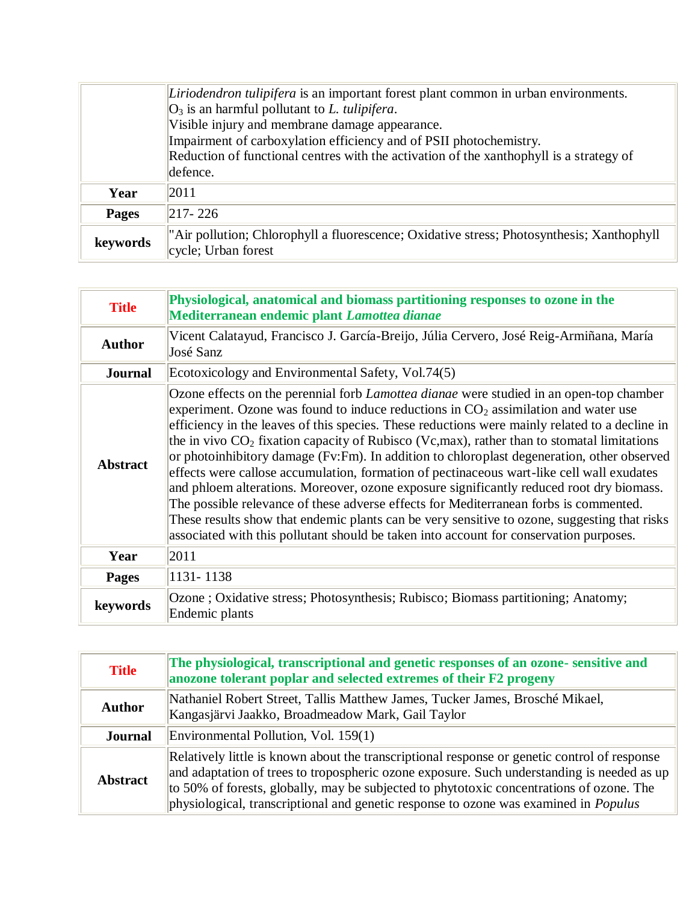|              | Liriodendron tulipifera is an important forest plant common in urban environments.                               |
|--------------|------------------------------------------------------------------------------------------------------------------|
|              | $ O_3 $ is an harmful pollutant to L. tulipifera.                                                                |
|              | Visible injury and membrane damage appearance.                                                                   |
|              | Impairment of carboxylation efficiency and of PSII photochemistry.                                               |
|              | Reduction of functional centres with the activation of the xanthophyll is a strategy of                          |
|              | defence.                                                                                                         |
| Year         | 2011                                                                                                             |
| <b>Pages</b> | $ 217 - 226 $                                                                                                    |
| keywords     | "Air pollution; Chlorophyll a fluorescence; Oxidative stress; Photosynthesis; Xanthophyll<br>cycle; Urban forest |

| <b>Title</b>    | Physiological, anatomical and biomass partitioning responses to ozone in the<br>Mediterranean endemic plant Lamottea dianae                                                                                                                                                                                                                                                                                                                                                                                                                                                                                                                                                                                                                                                                                                                                                                                                                                        |
|-----------------|--------------------------------------------------------------------------------------------------------------------------------------------------------------------------------------------------------------------------------------------------------------------------------------------------------------------------------------------------------------------------------------------------------------------------------------------------------------------------------------------------------------------------------------------------------------------------------------------------------------------------------------------------------------------------------------------------------------------------------------------------------------------------------------------------------------------------------------------------------------------------------------------------------------------------------------------------------------------|
| <b>Author</b>   | Vicent Calatayud, Francisco J. García-Breijo, Júlia Cervero, José Reig-Armiñana, María<br>José Sanz                                                                                                                                                                                                                                                                                                                                                                                                                                                                                                                                                                                                                                                                                                                                                                                                                                                                |
| <b>Journal</b>  | Ecotoxicology and Environmental Safety, Vol.74(5)                                                                                                                                                                                                                                                                                                                                                                                                                                                                                                                                                                                                                                                                                                                                                                                                                                                                                                                  |
| <b>Abstract</b> | Ozone effects on the perennial forb <i>Lamottea dianae</i> were studied in an open-top chamber<br>experiment. Ozone was found to induce reductions in $CO2$ assimilation and water use<br>efficiency in the leaves of this species. These reductions were mainly related to a decline in<br>the in vivo $CO2$ fixation capacity of Rubisco (Vc,max), rather than to stomatal limitations<br>or photoinhibitory damage (Fv:Fm). In addition to chloroplast degeneration, other observed<br>effects were callose accumulation, formation of pectinaceous wart-like cell wall exudates<br>and phloem alterations. Moreover, ozone exposure significantly reduced root dry biomass.<br>The possible relevance of these adverse effects for Mediterranean forbs is commented.<br>These results show that endemic plants can be very sensitive to ozone, suggesting that risks<br>associated with this pollutant should be taken into account for conservation purposes. |
| Year            | 2011                                                                                                                                                                                                                                                                                                                                                                                                                                                                                                                                                                                                                                                                                                                                                                                                                                                                                                                                                               |
| <b>Pages</b>    | 1131-1138                                                                                                                                                                                                                                                                                                                                                                                                                                                                                                                                                                                                                                                                                                                                                                                                                                                                                                                                                          |
| keywords        | Ozone; Oxidative stress; Photosynthesis; Rubisco; Biomass partitioning; Anatomy;<br>Endemic plants                                                                                                                                                                                                                                                                                                                                                                                                                                                                                                                                                                                                                                                                                                                                                                                                                                                                 |

| <b>Title</b>    | The physiological, transcriptional and genetic responses of an ozone-sensitive and<br>anozone tolerant poplar and selected extremes of their F2 progeny                                                                                                                                                                                                                               |
|-----------------|---------------------------------------------------------------------------------------------------------------------------------------------------------------------------------------------------------------------------------------------------------------------------------------------------------------------------------------------------------------------------------------|
| <b>Author</b>   | Nathaniel Robert Street, Tallis Matthew James, Tucker James, Brosché Mikael,<br>Kangasjärvi Jaakko, Broadmeadow Mark, Gail Taylor                                                                                                                                                                                                                                                     |
| <b>Journal</b>  | Environmental Pollution, Vol. 159(1)                                                                                                                                                                                                                                                                                                                                                  |
| <b>Abstract</b> | Relatively little is known about the transcriptional response or genetic control of response<br>and adaptation of trees to tropospheric ozone exposure. Such understanding is needed as up<br>to 50% of forests, globally, may be subjected to phytotoxic concentrations of ozone. The<br>physiological, transcriptional and genetic response to ozone was examined in <i>Populus</i> |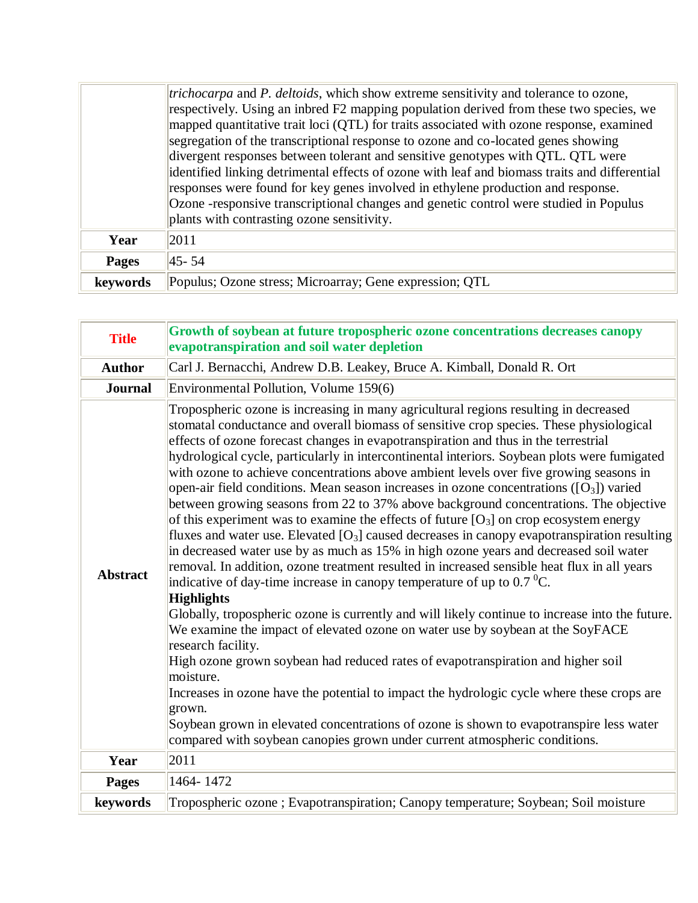|              | <i>trichocarpa</i> and <i>P. deltoids</i> , which show extreme sensitivity and tolerance to ozone,<br>respectively. Using an inbred F2 mapping population derived from these two species, we<br>mapped quantitative trait loci (QTL) for traits associated with ozone response, examined<br>segregation of the transcriptional response to ozone and co-located genes showing<br>divergent responses between tolerant and sensitive genotypes with QTL. QTL were |
|--------------|------------------------------------------------------------------------------------------------------------------------------------------------------------------------------------------------------------------------------------------------------------------------------------------------------------------------------------------------------------------------------------------------------------------------------------------------------------------|
|              | identified linking detrimental effects of ozone with leaf and biomass traits and differential<br>responses were found for key genes involved in ethylene production and response.<br>Ozone -responsive transcriptional changes and genetic control were studied in Populus<br>plants with contrasting ozone sensitivity.                                                                                                                                         |
| Year         | 2011                                                                                                                                                                                                                                                                                                                                                                                                                                                             |
| <b>Pages</b> | $ 45 - 54 $                                                                                                                                                                                                                                                                                                                                                                                                                                                      |
| keywords     | Populus; Ozone stress; Microarray; Gene expression; QTL                                                                                                                                                                                                                                                                                                                                                                                                          |

| <b>Title</b>    | Growth of soybean at future tropospheric ozone concentrations decreases canopy<br>evapotranspiration and soil water depletion                                                                                                                                                                                                                                                                                                                                                                                                                                                                                                                                                                                                                                                                                                                                                                                                                                                                                                                                                                                                                                                                                                                                                                                                                                                                                                                                                                                                                                                                                                                                                                                                               |
|-----------------|---------------------------------------------------------------------------------------------------------------------------------------------------------------------------------------------------------------------------------------------------------------------------------------------------------------------------------------------------------------------------------------------------------------------------------------------------------------------------------------------------------------------------------------------------------------------------------------------------------------------------------------------------------------------------------------------------------------------------------------------------------------------------------------------------------------------------------------------------------------------------------------------------------------------------------------------------------------------------------------------------------------------------------------------------------------------------------------------------------------------------------------------------------------------------------------------------------------------------------------------------------------------------------------------------------------------------------------------------------------------------------------------------------------------------------------------------------------------------------------------------------------------------------------------------------------------------------------------------------------------------------------------------------------------------------------------------------------------------------------------|
| <b>Author</b>   | Carl J. Bernacchi, Andrew D.B. Leakey, Bruce A. Kimball, Donald R. Ort                                                                                                                                                                                                                                                                                                                                                                                                                                                                                                                                                                                                                                                                                                                                                                                                                                                                                                                                                                                                                                                                                                                                                                                                                                                                                                                                                                                                                                                                                                                                                                                                                                                                      |
| <b>Journal</b>  | Environmental Pollution, Volume 159(6)                                                                                                                                                                                                                                                                                                                                                                                                                                                                                                                                                                                                                                                                                                                                                                                                                                                                                                                                                                                                                                                                                                                                                                                                                                                                                                                                                                                                                                                                                                                                                                                                                                                                                                      |
| <b>Abstract</b> | Tropospheric ozone is increasing in many agricultural regions resulting in decreased<br>stomatal conductance and overall biomass of sensitive crop species. These physiological<br>effects of ozone forecast changes in evapotranspiration and thus in the terrestrial<br>hydrological cycle, particularly in intercontinental interiors. Soybean plots were fumigated<br>with ozone to achieve concentrations above ambient levels over five growing seasons in<br>open-air field conditions. Mean season increases in ozone concentrations $([O3])$ varied<br>between growing seasons from 22 to 37% above background concentrations. The objective<br>of this experiment was to examine the effects of future $[O_3]$ on crop ecosystem energy<br>fluxes and water use. Elevated $[O_3]$ caused decreases in canopy evapotranspiration resulting<br>in decreased water use by as much as 15% in high ozone years and decreased soil water<br>removal. In addition, ozone treatment resulted in increased sensible heat flux in all years<br>indicative of day-time increase in canopy temperature of up to 0.7 $^0C$ .<br><b>Highlights</b><br>Globally, tropospheric ozone is currently and will likely continue to increase into the future.<br>We examine the impact of elevated ozone on water use by soybean at the SoyFACE<br>research facility.<br>High ozone grown soybean had reduced rates of evapotranspiration and higher soil<br>moisture.<br>Increases in ozone have the potential to impact the hydrologic cycle where these crops are<br>grown.<br>Soybean grown in elevated concentrations of ozone is shown to evapotranspire less water<br>compared with soybean canopies grown under current atmospheric conditions. |
| Year            | 2011                                                                                                                                                                                                                                                                                                                                                                                                                                                                                                                                                                                                                                                                                                                                                                                                                                                                                                                                                                                                                                                                                                                                                                                                                                                                                                                                                                                                                                                                                                                                                                                                                                                                                                                                        |
| <b>Pages</b>    | 1464-1472                                                                                                                                                                                                                                                                                                                                                                                                                                                                                                                                                                                                                                                                                                                                                                                                                                                                                                                                                                                                                                                                                                                                                                                                                                                                                                                                                                                                                                                                                                                                                                                                                                                                                                                                   |
| keywords        | Tropospheric ozone; Evapotranspiration; Canopy temperature; Soybean; Soil moisture                                                                                                                                                                                                                                                                                                                                                                                                                                                                                                                                                                                                                                                                                                                                                                                                                                                                                                                                                                                                                                                                                                                                                                                                                                                                                                                                                                                                                                                                                                                                                                                                                                                          |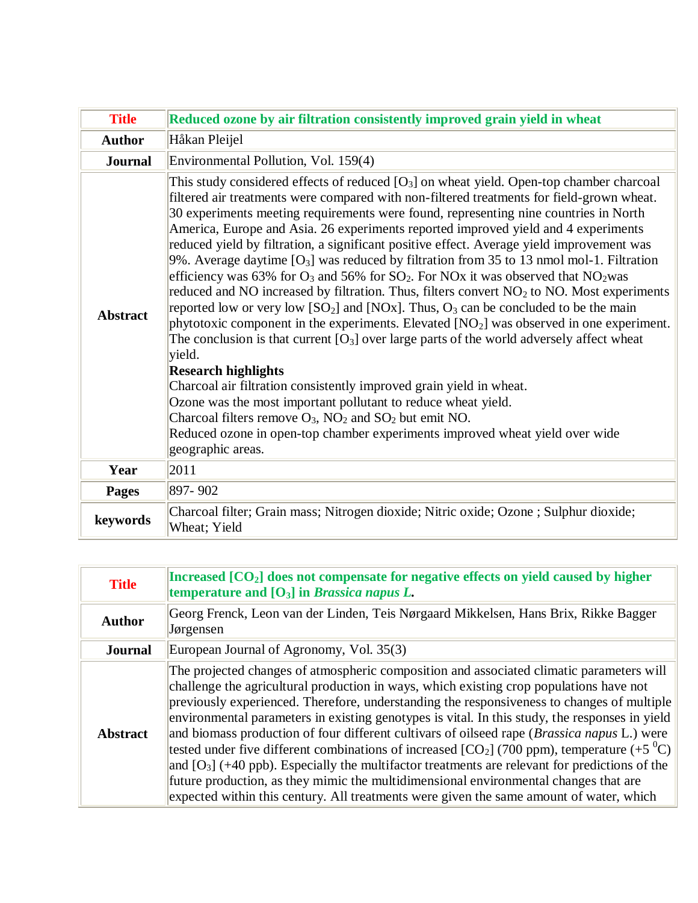| <b>Title</b>    | Reduced ozone by air filtration consistently improved grain yield in wheat                                                                                                                                                                                                                                                                                                                                                                                                                                                                                                                                                                                                                                                                                                                                                                                                                                                                                                                                                                                                                                                                                                                                                                                                                                                                                                                                              |
|-----------------|-------------------------------------------------------------------------------------------------------------------------------------------------------------------------------------------------------------------------------------------------------------------------------------------------------------------------------------------------------------------------------------------------------------------------------------------------------------------------------------------------------------------------------------------------------------------------------------------------------------------------------------------------------------------------------------------------------------------------------------------------------------------------------------------------------------------------------------------------------------------------------------------------------------------------------------------------------------------------------------------------------------------------------------------------------------------------------------------------------------------------------------------------------------------------------------------------------------------------------------------------------------------------------------------------------------------------------------------------------------------------------------------------------------------------|
| <b>Author</b>   | Håkan Pleijel                                                                                                                                                                                                                                                                                                                                                                                                                                                                                                                                                                                                                                                                                                                                                                                                                                                                                                                                                                                                                                                                                                                                                                                                                                                                                                                                                                                                           |
| Journal         | Environmental Pollution, Vol. 159(4)                                                                                                                                                                                                                                                                                                                                                                                                                                                                                                                                                                                                                                                                                                                                                                                                                                                                                                                                                                                                                                                                                                                                                                                                                                                                                                                                                                                    |
| <b>Abstract</b> | This study considered effects of reduced $[O_3]$ on wheat yield. Open-top chamber charcoal<br>filtered air treatments were compared with non-filtered treatments for field-grown wheat.<br>30 experiments meeting requirements were found, representing nine countries in North<br>America, Europe and Asia. 26 experiments reported improved yield and 4 experiments<br>reduced yield by filtration, a significant positive effect. Average yield improvement was<br>9%. Average daytime $[O_3]$ was reduced by filtration from 35 to 13 nmol mol-1. Filtration<br>efficiency was 63% for $O_3$ and 56% for $SO_2$ . For NOx it was observed that NO <sub>2</sub> was<br>reduced and NO increased by filtration. Thus, filters convert $NO2$ to NO. Most experiments<br>reported low or very low $[SO_2]$ and $[NOx]$ . Thus, $O_3$ can be concluded to be the main<br>phytotoxic component in the experiments. Elevated $[NO2]$ was observed in one experiment.<br>The conclusion is that current $[O_3]$ over large parts of the world adversely affect wheat<br>yield.<br><b>Research highlights</b><br>Charcoal air filtration consistently improved grain yield in wheat.<br>Ozone was the most important pollutant to reduce wheat yield.<br>Charcoal filters remove $O_3$ , $NO_2$ and $SO_2$ but emit NO.<br>Reduced ozone in open-top chamber experiments improved wheat yield over wide<br>geographic areas. |
| Year            | 2011                                                                                                                                                                                                                                                                                                                                                                                                                                                                                                                                                                                                                                                                                                                                                                                                                                                                                                                                                                                                                                                                                                                                                                                                                                                                                                                                                                                                                    |
| <b>Pages</b>    | 897-902                                                                                                                                                                                                                                                                                                                                                                                                                                                                                                                                                                                                                                                                                                                                                                                                                                                                                                                                                                                                                                                                                                                                                                                                                                                                                                                                                                                                                 |
| keywords        | Charcoal filter; Grain mass; Nitrogen dioxide; Nitric oxide; Ozone; Sulphur dioxide;<br>Wheat; Yield                                                                                                                                                                                                                                                                                                                                                                                                                                                                                                                                                                                                                                                                                                                                                                                                                                                                                                                                                                                                                                                                                                                                                                                                                                                                                                                    |

| <b>Title</b>    | Increased [CO <sub>2</sub> ] does not compensate for negative effects on yield caused by higher<br>temperature and $[O_3]$ in <i>Brassica napus L</i> .                                                                                                                                                                                                                                                                                                                                                                                                                                                                                                                                                                                                                                                                                                                                                  |
|-----------------|----------------------------------------------------------------------------------------------------------------------------------------------------------------------------------------------------------------------------------------------------------------------------------------------------------------------------------------------------------------------------------------------------------------------------------------------------------------------------------------------------------------------------------------------------------------------------------------------------------------------------------------------------------------------------------------------------------------------------------------------------------------------------------------------------------------------------------------------------------------------------------------------------------|
| <b>Author</b>   | Georg Frenck, Leon van der Linden, Teis Nørgaard Mikkelsen, Hans Brix, Rikke Bagger<br>Jørgensen                                                                                                                                                                                                                                                                                                                                                                                                                                                                                                                                                                                                                                                                                                                                                                                                         |
| <b>Journal</b>  | European Journal of Agronomy, Vol. 35(3)                                                                                                                                                                                                                                                                                                                                                                                                                                                                                                                                                                                                                                                                                                                                                                                                                                                                 |
| <b>Abstract</b> | The projected changes of atmospheric composition and associated climatic parameters will<br>challenge the agricultural production in ways, which existing crop populations have not<br>previously experienced. Therefore, understanding the responsiveness to changes of multiple<br>environmental parameters in existing genotypes is vital. In this study, the responses in yield<br>and biomass production of four different cultivars of oilseed rape ( <i>Brassica napus</i> L.) were<br>tested under five different combinations of increased [CO <sub>2</sub> ] (700 ppm), temperature (+5 <sup>0</sup> C)<br>and $[O_3]$ (+40 ppb). Especially the multifactor treatments are relevant for predictions of the<br>future production, as they mimic the multidimensional environmental changes that are<br>expected within this century. All treatments were given the same amount of water, which |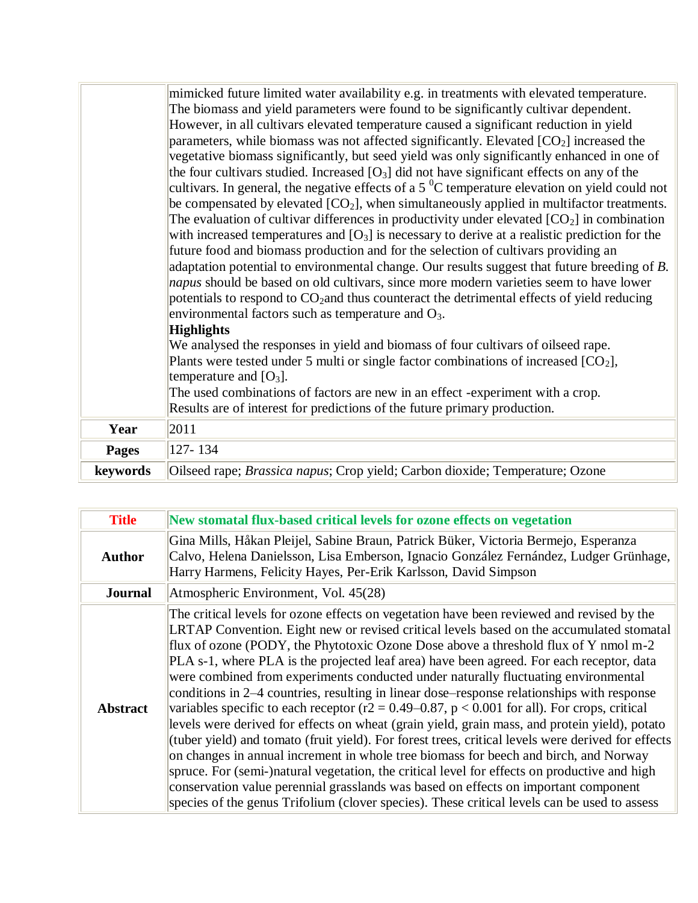|              | mimicked future limited water availability e.g. in treatments with elevated temperature.<br>The biomass and yield parameters were found to be significantly cultivar dependent.                                                                                                                                                                                                                                                                                                                                                                                                                                                                                                                                                                                                                                                                                                                                                                                                                                                                                                                                                                                                                 |
|--------------|-------------------------------------------------------------------------------------------------------------------------------------------------------------------------------------------------------------------------------------------------------------------------------------------------------------------------------------------------------------------------------------------------------------------------------------------------------------------------------------------------------------------------------------------------------------------------------------------------------------------------------------------------------------------------------------------------------------------------------------------------------------------------------------------------------------------------------------------------------------------------------------------------------------------------------------------------------------------------------------------------------------------------------------------------------------------------------------------------------------------------------------------------------------------------------------------------|
|              | However, in all cultivars elevated temperature caused a significant reduction in yield<br>parameters, while biomass was not affected significantly. Elevated $[CO2]$ increased the<br>vegetative biomass significantly, but seed yield was only significantly enhanced in one of<br>the four cultivars studied. Increased $[O_3]$ did not have significant effects on any of the<br>cultivars. In general, the negative effects of a 5 $\mathrm{^{0}C}$ temperature elevation on yield could not<br>be compensated by elevated $[CO_2]$ , when simultaneously applied in multifactor treatments.<br>The evaluation of cultivar differences in productivity under elevated $[CO_2]$ in combination<br>with increased temperatures and $[O_3]$ is necessary to derive at a realistic prediction for the<br>future food and biomass production and for the selection of cultivars providing an<br>adaptation potential to environmental change. Our results suggest that future breeding of B.<br>napus should be based on old cultivars, since more modern varieties seem to have lower<br>potentials to respond to CO <sub>2</sub> and thus counteract the detrimental effects of yield reducing |
|              | environmental factors such as temperature and $O_3$ .                                                                                                                                                                                                                                                                                                                                                                                                                                                                                                                                                                                                                                                                                                                                                                                                                                                                                                                                                                                                                                                                                                                                           |
|              | <b>Highlights</b>                                                                                                                                                                                                                                                                                                                                                                                                                                                                                                                                                                                                                                                                                                                                                                                                                                                                                                                                                                                                                                                                                                                                                                               |
|              | We analysed the responses in yield and biomass of four cultivars of oilseed rape.<br>Plants were tested under 5 multi or single factor combinations of increased $[CO_2]$ ,<br>temperature and $[O_3]$ .                                                                                                                                                                                                                                                                                                                                                                                                                                                                                                                                                                                                                                                                                                                                                                                                                                                                                                                                                                                        |
|              | The used combinations of factors are new in an effect -experiment with a crop.                                                                                                                                                                                                                                                                                                                                                                                                                                                                                                                                                                                                                                                                                                                                                                                                                                                                                                                                                                                                                                                                                                                  |
|              | Results are of interest for predictions of the future primary production.                                                                                                                                                                                                                                                                                                                                                                                                                                                                                                                                                                                                                                                                                                                                                                                                                                                                                                                                                                                                                                                                                                                       |
| Year         | 2011                                                                                                                                                                                                                                                                                                                                                                                                                                                                                                                                                                                                                                                                                                                                                                                                                                                                                                                                                                                                                                                                                                                                                                                            |
| <b>Pages</b> | 127-134                                                                                                                                                                                                                                                                                                                                                                                                                                                                                                                                                                                                                                                                                                                                                                                                                                                                                                                                                                                                                                                                                                                                                                                         |
| keywords     | Oilseed rape; <i>Brassica napus</i> ; Crop yield; Carbon dioxide; Temperature; Ozone                                                                                                                                                                                                                                                                                                                                                                                                                                                                                                                                                                                                                                                                                                                                                                                                                                                                                                                                                                                                                                                                                                            |

| <b>Title</b>    | New stomatal flux-based critical levels for ozone effects on vegetation                                                                                                                                                                                                                                                                                                                                                                                                                                                                                                                                                                                                                                                                                                                                                                                                                                                                                                                                                                                                                                                                                                                                                                                    |
|-----------------|------------------------------------------------------------------------------------------------------------------------------------------------------------------------------------------------------------------------------------------------------------------------------------------------------------------------------------------------------------------------------------------------------------------------------------------------------------------------------------------------------------------------------------------------------------------------------------------------------------------------------------------------------------------------------------------------------------------------------------------------------------------------------------------------------------------------------------------------------------------------------------------------------------------------------------------------------------------------------------------------------------------------------------------------------------------------------------------------------------------------------------------------------------------------------------------------------------------------------------------------------------|
| <b>Author</b>   | Gina Mills, Håkan Pleijel, Sabine Braun, Patrick Büker, Victoria Bermejo, Esperanza<br>Calvo, Helena Danielsson, Lisa Emberson, Ignacio González Fernández, Ludger Grünhage,<br>Harry Harmens, Felicity Hayes, Per-Erik Karlsson, David Simpson                                                                                                                                                                                                                                                                                                                                                                                                                                                                                                                                                                                                                                                                                                                                                                                                                                                                                                                                                                                                            |
| <b>Journal</b>  | Atmospheric Environment, Vol. 45(28)                                                                                                                                                                                                                                                                                                                                                                                                                                                                                                                                                                                                                                                                                                                                                                                                                                                                                                                                                                                                                                                                                                                                                                                                                       |
| <b>Abstract</b> | The critical levels for ozone effects on vegetation have been reviewed and revised by the<br>LRTAP Convention. Eight new or revised critical levels based on the accumulated stomatal<br>flux of ozone (PODY, the Phytotoxic Ozone Dose above a threshold flux of Y nmol m-2<br>PLA s-1, where PLA is the projected leaf area) have been agreed. For each receptor, data<br>were combined from experiments conducted under naturally fluctuating environmental<br>conditions in 2–4 countries, resulting in linear dose–response relationships with response<br>variables specific to each receptor ( $r2 = 0.49 - 0.87$ , $p < 0.001$ for all). For crops, critical<br>levels were derived for effects on wheat (grain yield, grain mass, and protein yield), potato<br>(tuber yield) and tomato (fruit yield). For forest trees, critical levels were derived for effects<br>on changes in annual increment in whole tree biomass for beech and birch, and Norway<br>spruce. For (semi-)natural vegetation, the critical level for effects on productive and high<br>conservation value perennial grasslands was based on effects on important component<br>species of the genus Trifolium (clover species). These critical levels can be used to assess |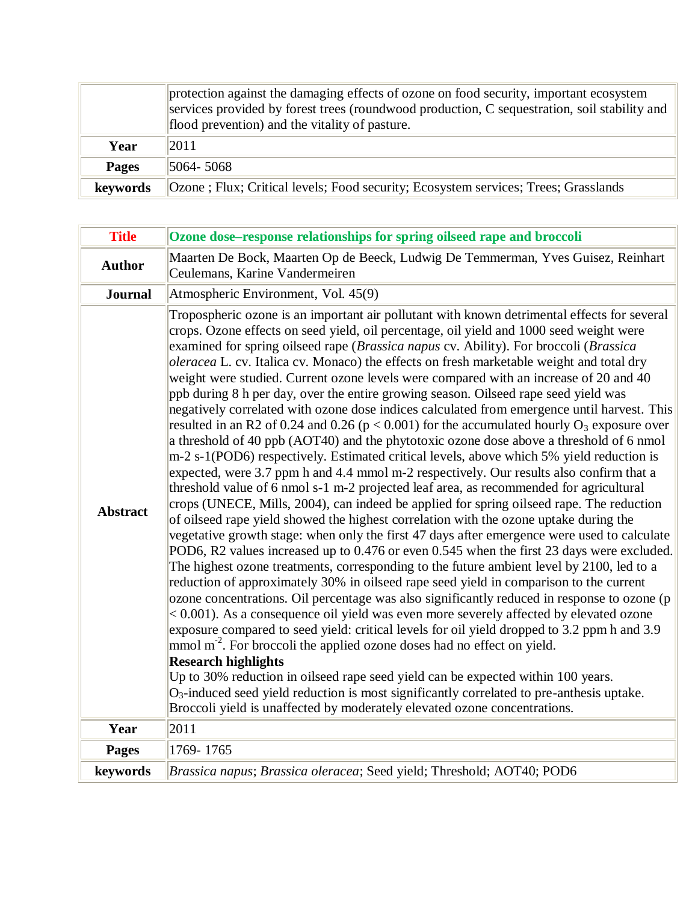|              | protection against the damaging effects of ozone on food security, important ecosystem<br>services provided by forest trees (roundwood production, C sequestration, soil stability and<br>flood prevention) and the vitality of pasture. |
|--------------|------------------------------------------------------------------------------------------------------------------------------------------------------------------------------------------------------------------------------------------|
| Year         | 2011                                                                                                                                                                                                                                     |
| <b>Pages</b> | $ 5064 - 5068 $                                                                                                                                                                                                                          |
| keywords     | Ozone; Flux; Critical levels; Food security; Ecosystem services; Trees; Grasslands                                                                                                                                                       |

| <b>Title</b>    | Ozone dose-response relationships for spring oilseed rape and broccoli                                                                                                                                                                                                                                                                                                                                                                                                                                                                                                                                                                                                                                                                                                                                                                                                                                                                                                                                                                                                                                                                                                                                                                                                                                                                                                                                                                                                                                                                                                                                                                                                                                                                                                                                                                                                                                                                                                                                                                                                                                                                                                                                                                                                                                                                                                                                        |
|-----------------|---------------------------------------------------------------------------------------------------------------------------------------------------------------------------------------------------------------------------------------------------------------------------------------------------------------------------------------------------------------------------------------------------------------------------------------------------------------------------------------------------------------------------------------------------------------------------------------------------------------------------------------------------------------------------------------------------------------------------------------------------------------------------------------------------------------------------------------------------------------------------------------------------------------------------------------------------------------------------------------------------------------------------------------------------------------------------------------------------------------------------------------------------------------------------------------------------------------------------------------------------------------------------------------------------------------------------------------------------------------------------------------------------------------------------------------------------------------------------------------------------------------------------------------------------------------------------------------------------------------------------------------------------------------------------------------------------------------------------------------------------------------------------------------------------------------------------------------------------------------------------------------------------------------------------------------------------------------------------------------------------------------------------------------------------------------------------------------------------------------------------------------------------------------------------------------------------------------------------------------------------------------------------------------------------------------------------------------------------------------------------------------------------------------|
| <b>Author</b>   | Maarten De Bock, Maarten Op de Beeck, Ludwig De Temmerman, Yves Guisez, Reinhart<br>Ceulemans, Karine Vandermeiren                                                                                                                                                                                                                                                                                                                                                                                                                                                                                                                                                                                                                                                                                                                                                                                                                                                                                                                                                                                                                                                                                                                                                                                                                                                                                                                                                                                                                                                                                                                                                                                                                                                                                                                                                                                                                                                                                                                                                                                                                                                                                                                                                                                                                                                                                            |
| <b>Journal</b>  | Atmospheric Environment, Vol. 45(9)                                                                                                                                                                                                                                                                                                                                                                                                                                                                                                                                                                                                                                                                                                                                                                                                                                                                                                                                                                                                                                                                                                                                                                                                                                                                                                                                                                                                                                                                                                                                                                                                                                                                                                                                                                                                                                                                                                                                                                                                                                                                                                                                                                                                                                                                                                                                                                           |
| <b>Abstract</b> | Tropospheric ozone is an important air pollutant with known detrimental effects for several<br>crops. Ozone effects on seed yield, oil percentage, oil yield and 1000 seed weight were<br>examined for spring oilseed rape (Brassica napus cv. Ability). For broccoli (Brassica<br>oleracea L. cv. Italica cv. Monaco) the effects on fresh marketable weight and total dry<br>weight were studied. Current ozone levels were compared with an increase of 20 and 40<br>ppb during 8 h per day, over the entire growing season. Oilseed rape seed yield was<br>negatively correlated with ozone dose indices calculated from emergence until harvest. This<br>resulted in an R2 of 0.24 and 0.26 ( $p < 0.001$ ) for the accumulated hourly O <sub>3</sub> exposure over<br>a threshold of 40 ppb (AOT40) and the phytotoxic ozone dose above a threshold of 6 nmol<br>m-2 s-1(POD6) respectively. Estimated critical levels, above which 5% yield reduction is<br>expected, were 3.7 ppm h and 4.4 mmol m-2 respectively. Our results also confirm that a<br>threshold value of 6 nmol s-1 m-2 projected leaf area, as recommended for agricultural<br>crops (UNECE, Mills, 2004), can indeed be applied for spring oilseed rape. The reduction<br>of oilseed rape yield showed the highest correlation with the ozone uptake during the<br>vegetative growth stage: when only the first 47 days after emergence were used to calculate<br>POD6, R2 values increased up to 0.476 or even 0.545 when the first 23 days were excluded.<br>The highest ozone treatments, corresponding to the future ambient level by 2100, led to a<br>reduction of approximately 30% in oilseed rape seed yield in comparison to the current<br>ozone concentrations. Oil percentage was also significantly reduced in response to ozone (p<br>$< 0.001$ ). As a consequence oil yield was even more severely affected by elevated ozone<br>exposure compared to seed yield: critical levels for oil yield dropped to 3.2 ppm h and 3.9<br>mmol m <sup>-2</sup> . For broccoli the applied ozone doses had no effect on yield.<br><b>Research highlights</b><br>Up to 30% reduction in oilseed rape seed yield can be expected within 100 years.<br>$O_3$ -induced seed yield reduction is most significantly correlated to pre-anthesis uptake.<br>Broccoli yield is unaffected by moderately elevated ozone concentrations. |
| Year            | 2011                                                                                                                                                                                                                                                                                                                                                                                                                                                                                                                                                                                                                                                                                                                                                                                                                                                                                                                                                                                                                                                                                                                                                                                                                                                                                                                                                                                                                                                                                                                                                                                                                                                                                                                                                                                                                                                                                                                                                                                                                                                                                                                                                                                                                                                                                                                                                                                                          |
| <b>Pages</b>    | 1769-1765                                                                                                                                                                                                                                                                                                                                                                                                                                                                                                                                                                                                                                                                                                                                                                                                                                                                                                                                                                                                                                                                                                                                                                                                                                                                                                                                                                                                                                                                                                                                                                                                                                                                                                                                                                                                                                                                                                                                                                                                                                                                                                                                                                                                                                                                                                                                                                                                     |
| keywords        | Brassica napus; Brassica oleracea; Seed yield; Threshold; AOT40; POD6                                                                                                                                                                                                                                                                                                                                                                                                                                                                                                                                                                                                                                                                                                                                                                                                                                                                                                                                                                                                                                                                                                                                                                                                                                                                                                                                                                                                                                                                                                                                                                                                                                                                                                                                                                                                                                                                                                                                                                                                                                                                                                                                                                                                                                                                                                                                         |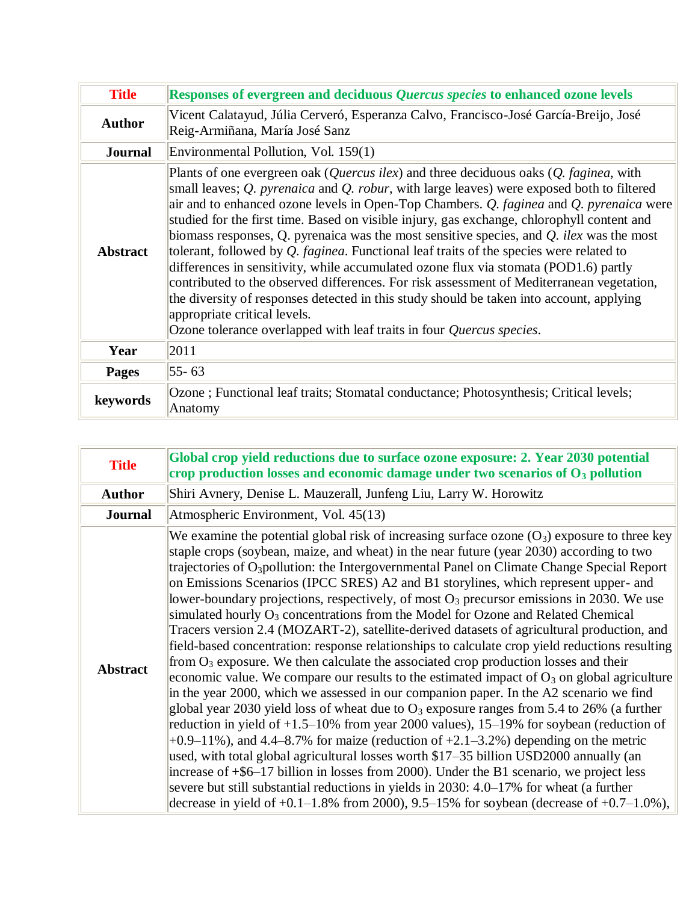| <b>Title</b>    | Responses of evergreen and deciduous Quercus species to enhanced ozone levels                                                                                                                                                                                                                                                                                                                                                                                                                                                                                                                                                                                                                                                                                                                                                                                                                                                                                                                                   |
|-----------------|-----------------------------------------------------------------------------------------------------------------------------------------------------------------------------------------------------------------------------------------------------------------------------------------------------------------------------------------------------------------------------------------------------------------------------------------------------------------------------------------------------------------------------------------------------------------------------------------------------------------------------------------------------------------------------------------------------------------------------------------------------------------------------------------------------------------------------------------------------------------------------------------------------------------------------------------------------------------------------------------------------------------|
| <b>Author</b>   | Vicent Calatayud, Júlia Cerveró, Esperanza Calvo, Francisco-José García-Breijo, José<br>Reig-Armiñana, María José Sanz                                                                                                                                                                                                                                                                                                                                                                                                                                                                                                                                                                                                                                                                                                                                                                                                                                                                                          |
| <b>Journal</b>  | Environmental Pollution, Vol. 159(1)                                                                                                                                                                                                                                                                                                                                                                                                                                                                                                                                                                                                                                                                                                                                                                                                                                                                                                                                                                            |
| <b>Abstract</b> | Plants of one evergreen oak ( <i>Quercus ilex</i> ) and three deciduous oaks ( <i>Q. faginea</i> , with<br>small leaves; $Q$ . <i>pyrenaica</i> and $Q$ . <i>robur</i> , with large leaves) were exposed both to filtered<br>air and to enhanced ozone levels in Open-Top Chambers. Q. faginea and Q. pyrenaica were<br>studied for the first time. Based on visible injury, gas exchange, chlorophyll content and<br>biomass responses, Q. pyrenaica was the most sensitive species, and $Q$ . <i>ilex</i> was the most<br>tolerant, followed by $Q$ . faginea. Functional leaf traits of the species were related to<br>differences in sensitivity, while accumulated ozone flux via stomata (POD1.6) partly<br>contributed to the observed differences. For risk assessment of Mediterranean vegetation,<br>the diversity of responses detected in this study should be taken into account, applying<br>appropriate critical levels.<br>Ozone tolerance overlapped with leaf traits in four Quercus species. |
| Year            | 2011                                                                                                                                                                                                                                                                                                                                                                                                                                                                                                                                                                                                                                                                                                                                                                                                                                                                                                                                                                                                            |
| <b>Pages</b>    | $55 - 63$                                                                                                                                                                                                                                                                                                                                                                                                                                                                                                                                                                                                                                                                                                                                                                                                                                                                                                                                                                                                       |
| keywords        | Ozone; Functional leaf traits; Stomatal conductance; Photosynthesis; Critical levels;<br>Anatomy                                                                                                                                                                                                                                                                                                                                                                                                                                                                                                                                                                                                                                                                                                                                                                                                                                                                                                                |

| <b>Title</b>    | Global crop yield reductions due to surface ozone exposure: 2. Year 2030 potential<br>crop production losses and economic damage under two scenarios of $O3$ pollution                                                                                                                                                                                                                                                                                                                                                                                                                                                                                                                                                                                                                                                                                                                                                                                                                                                                                                                                                                                                                                                                                                                                                                                                                                                                                                                                                                                                                                                                                                                                                                                   |
|-----------------|----------------------------------------------------------------------------------------------------------------------------------------------------------------------------------------------------------------------------------------------------------------------------------------------------------------------------------------------------------------------------------------------------------------------------------------------------------------------------------------------------------------------------------------------------------------------------------------------------------------------------------------------------------------------------------------------------------------------------------------------------------------------------------------------------------------------------------------------------------------------------------------------------------------------------------------------------------------------------------------------------------------------------------------------------------------------------------------------------------------------------------------------------------------------------------------------------------------------------------------------------------------------------------------------------------------------------------------------------------------------------------------------------------------------------------------------------------------------------------------------------------------------------------------------------------------------------------------------------------------------------------------------------------------------------------------------------------------------------------------------------------|
| <b>Author</b>   | Shiri Avnery, Denise L. Mauzerall, Junfeng Liu, Larry W. Horowitz                                                                                                                                                                                                                                                                                                                                                                                                                                                                                                                                                                                                                                                                                                                                                                                                                                                                                                                                                                                                                                                                                                                                                                                                                                                                                                                                                                                                                                                                                                                                                                                                                                                                                        |
| <b>Journal</b>  | Atmospheric Environment, Vol. 45(13)                                                                                                                                                                                                                                                                                                                                                                                                                                                                                                                                                                                                                                                                                                                                                                                                                                                                                                                                                                                                                                                                                                                                                                                                                                                                                                                                                                                                                                                                                                                                                                                                                                                                                                                     |
| <b>Abstract</b> | We examine the potential global risk of increasing surface ozone $(O_3)$ exposure to three key<br>staple crops (soybean, maize, and wheat) in the near future (year 2030) according to two<br>trajectories of O <sub>3</sub> pollution: the Intergovernmental Panel on Climate Change Special Report<br>on Emissions Scenarios (IPCC SRES) A2 and B1 storylines, which represent upper- and<br>lower-boundary projections, respectively, of most $O_3$ precursor emissions in 2030. We use<br>simulated hourly $O_3$ concentrations from the Model for Ozone and Related Chemical<br>Tracers version 2.4 (MOZART-2), satellite-derived datasets of agricultural production, and<br>field-based concentration: response relationships to calculate crop yield reductions resulting<br>from $O_3$ exposure. We then calculate the associated crop production losses and their<br>economic value. We compare our results to the estimated impact of $O_3$ on global agriculture<br>in the year 2000, which we assessed in our companion paper. In the A2 scenario we find<br>global year 2030 yield loss of wheat due to $O_3$ exposure ranges from 5.4 to 26% (a further<br>reduction in yield of $+1.5-10\%$ from year 2000 values), 15-19% for soybean (reduction of<br>$+0.9-11\%$ ), and 4.4–8.7% for maize (reduction of $+2.1-3.2\%$ ) depending on the metric<br>used, with total global agricultural losses worth \$17–35 billion USD2000 annually (an<br>increase of $+$ \$6–17 billion in losses from 2000). Under the B1 scenario, we project less<br>severe but still substantial reductions in yields in 2030: 4.0–17% for wheat (a further<br>decrease in yield of $+0.1-1.8\%$ from 2000), 9.5-15% for soybean (decrease of $+0.7-1.0\%$ ), |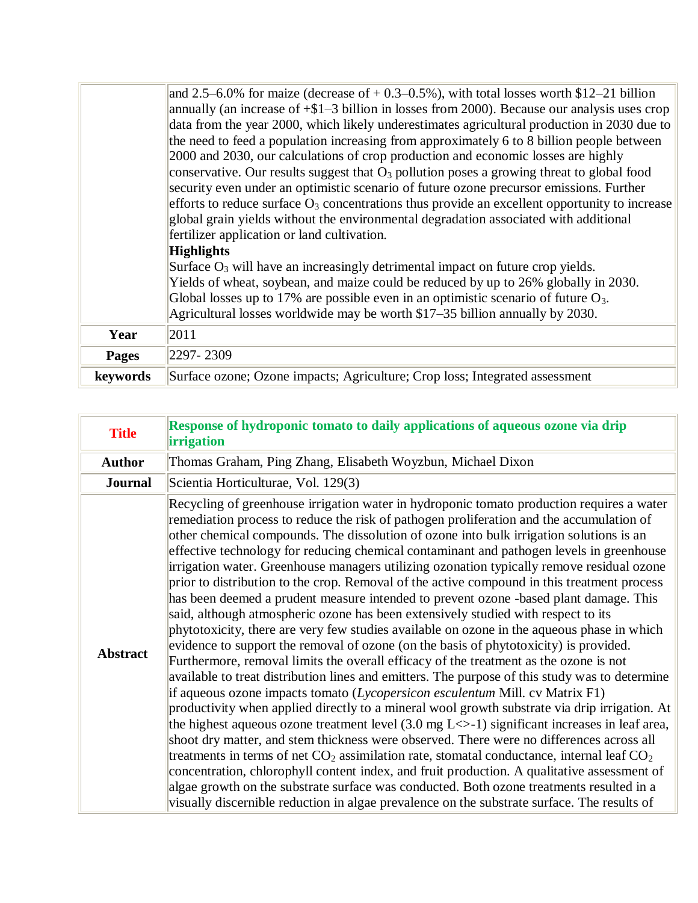|              | and 2.5–6.0% for maize (decrease of $+$ 0.3–0.5%), with total losses worth \$12–21 billion       |
|--------------|--------------------------------------------------------------------------------------------------|
|              | annually (an increase of $+ $1-3$ billion in losses from 2000). Because our analysis uses crop   |
|              | data from the year 2000, which likely underestimates agricultural production in 2030 due to      |
|              | the need to feed a population increasing from approximately 6 to 8 billion people between        |
|              | 2000 and 2030, our calculations of crop production and economic losses are highly                |
|              | conservative. Our results suggest that $O_3$ pollution poses a growing threat to global food     |
|              | security even under an optimistic scenario of future ozone precursor emissions. Further          |
|              | efforts to reduce surface $O_3$ concentrations thus provide an excellent opportunity to increase |
|              | global grain yields without the environmental degradation associated with additional             |
|              | fertilizer application or land cultivation.                                                      |
|              | <b>Highlights</b>                                                                                |
|              | Surface $O_3$ will have an increasingly detrimental impact on future crop yields.                |
|              | Yields of wheat, soybean, and maize could be reduced by up to 26% globally in 2030.              |
|              | Global losses up to 17% are possible even in an optimistic scenario of future $O_3$ .            |
|              | Agricultural losses worldwide may be worth \$17–35 billion annually by 2030.                     |
| Year         | 2011                                                                                             |
| <b>Pages</b> | 2297-2309                                                                                        |
| keywords     | Surface ozone; Ozone impacts; Agriculture; Crop loss; Integrated assessment                      |

| <b>Title</b>    | Response of hydroponic tomato to daily applications of aqueous ozone via drip<br><i>irrigation</i>                                                                                                                                                                                                                                                                                                                                                                                                                                                                                                                                                                                                                                                                                                                                                                                                                                                                                                                                                                                                                                                                                                                                                                                                                                                                                                                                                                                                                                                                                                                                                                                                                                                                                                                                                                                                                          |
|-----------------|-----------------------------------------------------------------------------------------------------------------------------------------------------------------------------------------------------------------------------------------------------------------------------------------------------------------------------------------------------------------------------------------------------------------------------------------------------------------------------------------------------------------------------------------------------------------------------------------------------------------------------------------------------------------------------------------------------------------------------------------------------------------------------------------------------------------------------------------------------------------------------------------------------------------------------------------------------------------------------------------------------------------------------------------------------------------------------------------------------------------------------------------------------------------------------------------------------------------------------------------------------------------------------------------------------------------------------------------------------------------------------------------------------------------------------------------------------------------------------------------------------------------------------------------------------------------------------------------------------------------------------------------------------------------------------------------------------------------------------------------------------------------------------------------------------------------------------------------------------------------------------------------------------------------------------|
| <b>Author</b>   | Thomas Graham, Ping Zhang, Elisabeth Woyzbun, Michael Dixon                                                                                                                                                                                                                                                                                                                                                                                                                                                                                                                                                                                                                                                                                                                                                                                                                                                                                                                                                                                                                                                                                                                                                                                                                                                                                                                                                                                                                                                                                                                                                                                                                                                                                                                                                                                                                                                                 |
| <b>Journal</b>  | Scientia Horticulturae, Vol. 129(3)                                                                                                                                                                                                                                                                                                                                                                                                                                                                                                                                                                                                                                                                                                                                                                                                                                                                                                                                                                                                                                                                                                                                                                                                                                                                                                                                                                                                                                                                                                                                                                                                                                                                                                                                                                                                                                                                                         |
| <b>Abstract</b> | Recycling of greenhouse irrigation water in hydroponic tomato production requires a water<br>remediation process to reduce the risk of pathogen proliferation and the accumulation of<br>other chemical compounds. The dissolution of ozone into bulk irrigation solutions is an<br>effective technology for reducing chemical contaminant and pathogen levels in greenhouse<br>irrigation water. Greenhouse managers utilizing ozonation typically remove residual ozone<br>prior to distribution to the crop. Removal of the active compound in this treatment process<br>has been deemed a prudent measure intended to prevent ozone -based plant damage. This<br>said, although atmospheric ozone has been extensively studied with respect to its<br>phytotoxicity, there are very few studies available on ozone in the aqueous phase in which<br>evidence to support the removal of ozone (on the basis of phytotoxicity) is provided.<br>Furthermore, removal limits the overall efficacy of the treatment as the ozone is not<br>available to treat distribution lines and emitters. The purpose of this study was to determine<br>if aqueous ozone impacts tomato (Lycopersicon esculentum Mill. cv Matrix F1)<br>productivity when applied directly to a mineral wool growth substrate via drip irrigation. At<br>the highest aqueous ozone treatment level $(3.0 \text{ mg L}\ll)$ significant increases in leaf area,<br>shoot dry matter, and stem thickness were observed. There were no differences across all<br>treatments in terms of net $CO_2$ assimilation rate, stomatal conductance, internal leaf $CO_2$<br>concentration, chlorophyll content index, and fruit production. A qualitative assessment of<br>algae growth on the substrate surface was conducted. Both ozone treatments resulted in a<br>visually discernible reduction in algae prevalence on the substrate surface. The results of |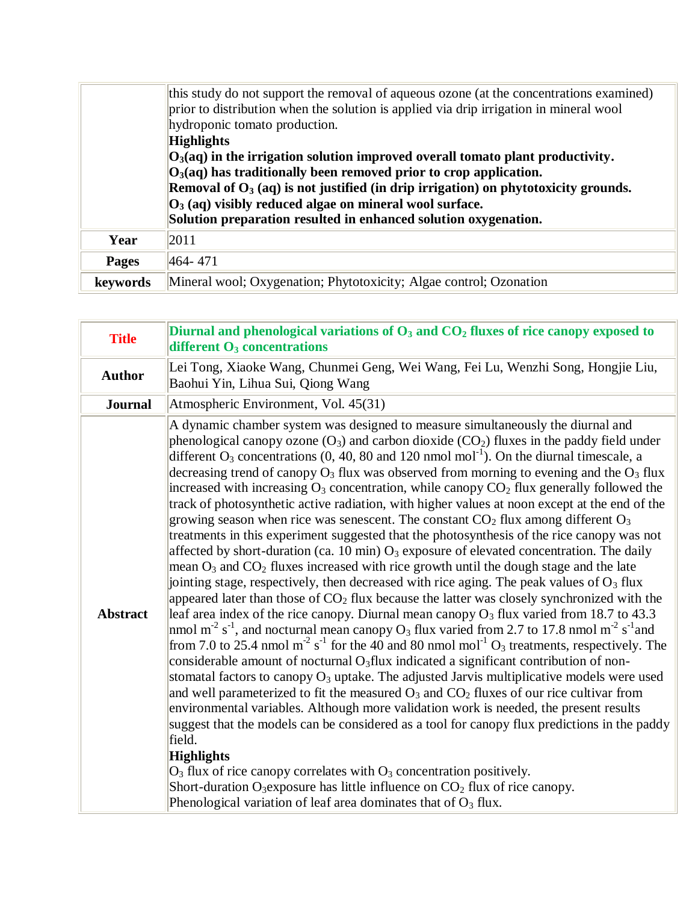|              | this study do not support the removal of aqueous ozone (at the concentrations examined)<br>prior to distribution when the solution is applied via drip irrigation in mineral wool<br>hydroponic tomato production.                                                                                                                                                                                    |
|--------------|-------------------------------------------------------------------------------------------------------------------------------------------------------------------------------------------------------------------------------------------------------------------------------------------------------------------------------------------------------------------------------------------------------|
|              | <b>Highlights</b><br>$ O_3(aq)$ in the irrigation solution improved overall tomato plant productivity.<br>$O3(aq)$ has traditionally been removed prior to crop application.<br>Removal of $O_3$ (aq) is not justified (in drip irrigation) on phytotoxicity grounds.<br>$O_3$ (aq) visibly reduced algae on mineral wool surface.<br>Solution preparation resulted in enhanced solution oxygenation. |
| Year         | 2011                                                                                                                                                                                                                                                                                                                                                                                                  |
|              |                                                                                                                                                                                                                                                                                                                                                                                                       |
| <b>Pages</b> | $ 464 - 471 $                                                                                                                                                                                                                                                                                                                                                                                         |
| keywords     | Mineral wool; Oxygenation; Phytotoxicity; Algae control; Ozonation                                                                                                                                                                                                                                                                                                                                    |

| <b>Title</b>    | Diurnal and phenological variations of $O_3$ and $CO_2$ fluxes of rice canopy exposed to<br>different $O_3$ concentrations                                                                                                                                                                                                                                                                                                                                                                                                                                                                                                                                                                                                                                                                                                                                                                                                                                                                                                                                                                                                                                                                                                                                                                                                                                                                                                                                                                                                                                                                                                                                                                                                                                                                                                                                                                                                                                                                                                                                                                                                                                                                                                                                                                                                                                                    |
|-----------------|-------------------------------------------------------------------------------------------------------------------------------------------------------------------------------------------------------------------------------------------------------------------------------------------------------------------------------------------------------------------------------------------------------------------------------------------------------------------------------------------------------------------------------------------------------------------------------------------------------------------------------------------------------------------------------------------------------------------------------------------------------------------------------------------------------------------------------------------------------------------------------------------------------------------------------------------------------------------------------------------------------------------------------------------------------------------------------------------------------------------------------------------------------------------------------------------------------------------------------------------------------------------------------------------------------------------------------------------------------------------------------------------------------------------------------------------------------------------------------------------------------------------------------------------------------------------------------------------------------------------------------------------------------------------------------------------------------------------------------------------------------------------------------------------------------------------------------------------------------------------------------------------------------------------------------------------------------------------------------------------------------------------------------------------------------------------------------------------------------------------------------------------------------------------------------------------------------------------------------------------------------------------------------------------------------------------------------------------------------------------------------|
| <b>Author</b>   | Lei Tong, Xiaoke Wang, Chunmei Geng, Wei Wang, Fei Lu, Wenzhi Song, Hongjie Liu,<br>Baohui Yin, Lihua Sui, Qiong Wang                                                                                                                                                                                                                                                                                                                                                                                                                                                                                                                                                                                                                                                                                                                                                                                                                                                                                                                                                                                                                                                                                                                                                                                                                                                                                                                                                                                                                                                                                                                                                                                                                                                                                                                                                                                                                                                                                                                                                                                                                                                                                                                                                                                                                                                         |
| <b>Journal</b>  | Atmospheric Environment, Vol. 45(31)                                                                                                                                                                                                                                                                                                                                                                                                                                                                                                                                                                                                                                                                                                                                                                                                                                                                                                                                                                                                                                                                                                                                                                                                                                                                                                                                                                                                                                                                                                                                                                                                                                                                                                                                                                                                                                                                                                                                                                                                                                                                                                                                                                                                                                                                                                                                          |
| <b>Abstract</b> | A dynamic chamber system was designed to measure simultaneously the diurnal and<br>phenological canopy ozone $(O_3)$ and carbon dioxide $(CO_2)$ fluxes in the paddy field under<br>different $O_3$ concentrations (0, 40, 80 and 120 nmol mol <sup>-1</sup> ). On the diurnal timescale, a<br>decreasing trend of canopy $O_3$ flux was observed from morning to evening and the $O_3$ flux<br>increased with increasing $O_3$ concentration, while canopy $CO_2$ flux generally followed the<br>track of photosynthetic active radiation, with higher values at noon except at the end of the<br>growing season when rice was senescent. The constant $CO2$ flux among different $O3$<br>treatments in this experiment suggested that the photosynthesis of the rice canopy was not<br>affected by short-duration (ca. 10 min) $O_3$ exposure of elevated concentration. The daily<br>mean $O_3$ and $CO_2$ fluxes increased with rice growth until the dough stage and the late<br>jointing stage, respectively, then decreased with rice aging. The peak values of $O_3$ flux<br>appeared later than those of $CO2$ flux because the latter was closely synchronized with the<br>leaf area index of the rice canopy. Diurnal mean canopy $O_3$ flux varied from 18.7 to 43.3<br>nmol m <sup>-2</sup> s <sup>-1</sup> , and nocturnal mean canopy O <sub>3</sub> flux varied from 2.7 to 17.8 nmol m <sup>-2</sup> s <sup>-1</sup> and<br>from 7.0 to 25.4 nmol m <sup>-2</sup> s <sup>-1</sup> for the 40 and 80 nmol mol <sup>-1</sup> O <sub>3</sub> treatments, respectively. The<br>considerable amount of nocturnal O <sub>3</sub> flux indicated a significant contribution of non-<br>stomatal factors to canopy O <sub>3</sub> uptake. The adjusted Jarvis multiplicative models were used<br>and well parameterized to fit the measured $O_3$ and $CO_2$ fluxes of our rice cultivar from<br>environmental variables. Although more validation work is needed, the present results<br>suggest that the models can be considered as a tool for canopy flux predictions in the paddy<br>field.<br><b>Highlights</b><br>$O_3$ flux of rice canopy correlates with $O_3$ concentration positively.<br>Short-duration O <sub>3</sub> exposure has little influence on $CO2$ flux of rice canopy.<br>Phenological variation of leaf area dominates that of $O_3$ flux. |